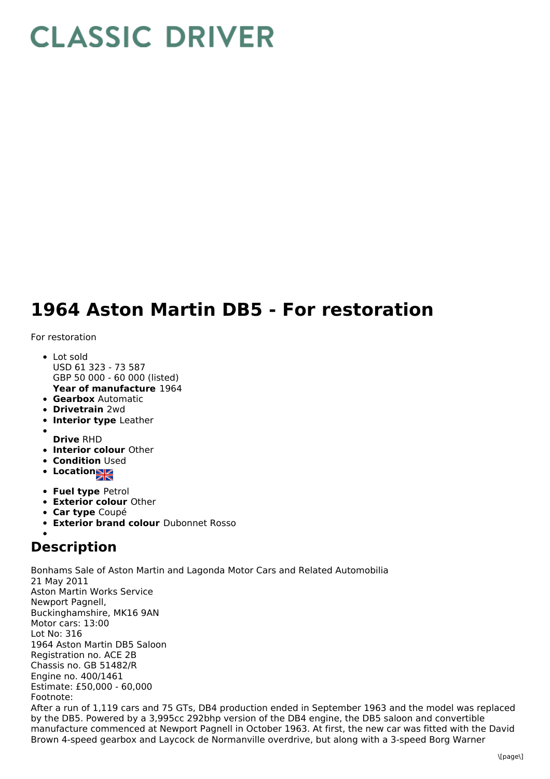## **CLASSIC DRIVER**

## **1964 Aston Martin DB5 - For restoration**

For restoration

- **Year of manufacture** 1964 • Lot sold USD 61 323 - 73 587 GBP 50 000 - 60 000 (listed)
- **Gearbox** Automatic
- **Drivetrain** 2wd
- **Interior type** Leather
- 
- **Drive** RHD
- **Interior colour** Other
- **Condition Used**
- **Location**
- **Fuel type** Petrol
- **Exterior colour** Other
- **Car type** Coupé
- **Exterior brand colour** Dubonnet Rosso

## **Description**

Bonhams Sale of Aston Martin and Lagonda Motor Cars and Related Automobilia 21 May 2011 Aston Martin Works Service Newport Pagnell, Buckinghamshire, MK16 9AN Motor cars: 13:00 Lot No: 316 1964 Aston Martin DB5 Saloon Registration no. ACE 2B Chassis no. GB 51482/R Engine no. 400/1461 Estimate: £50,000 - 60,000 Footnote: After a run of 1,119 cars and 75 GTs, DB4 production ended in September 1963 and the model was replaced by the DB5. Powered by a 3,995cc 292bhp version of the DB4 engine, the DB5 saloon and convertible manufacture commenced at Newport Pagnell in October 1963. At first, the new car was fitted with the David Brown 4-speed gearbox and Laycock de Normanville overdrive, but along with a 3-speed Borg Warner